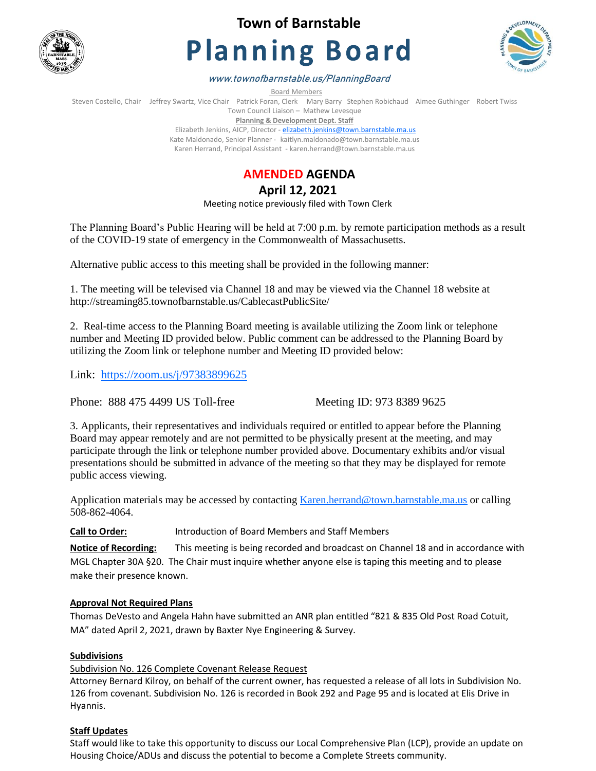

**Town of Barnstable**

# **Planning Board**



www.townofbarnstable.us/PlanningBoard

Board Members

Steven Costello, Chair Jeffrey Swartz, Vice Chair Patrick Foran, Clerk Mary Barry Stephen Robichaud Aimee Guthinger Robert Twiss Town Council Liaison – Mathew Levesque

**Planning & Development Dept. Staff**  Elizabeth Jenkins, AICP, Director - [elizabeth.jenkins@town.barnstable.ma.us](mailto:elizabeth.jenkins@town.barnstable.ma.us) Kate Maldonado, Senior Planner - kaitlyn.maldonado@town.barnstable.ma.us Karen Herrand, Principal Assistant - karen.herrand@town.barnstable.ma.us



**April 12, 2021** 

Meeting notice previously filed with Town Clerk

The Planning Board's Public Hearing will be held at 7:00 p.m. by remote participation methods as a result of the COVID-19 state of emergency in the Commonwealth of Massachusetts.

Alternative public access to this meeting shall be provided in the following manner:

1. The meeting will be televised via Channel 18 and may be viewed via the Channel 18 website at http://streaming85.townofbarnstable.us/CablecastPublicSite/

2. Real-time access to the Planning Board meeting is available utilizing the Zoom link or telephone number and Meeting ID provided below. Public comment can be addressed to the Planning Board by utilizing the Zoom link or telephone number and Meeting ID provided below:

Link: <https://zoom.us/j/97383899625>

Phone: 888 475 4499 US Toll-free Meeting ID: 973 8389 9625

3. Applicants, their representatives and individuals required or entitled to appear before the Planning Board may appear remotely and are not permitted to be physically present at the meeting, and may participate through the link or telephone number provided above. Documentary exhibits and/or visual presentations should be submitted in advance of the meeting so that they may be displayed for remote public access viewing.

Application materials may be accessed by contacting [Karen.herrand@town.barnstable.ma.us](mailto:Karen.herrand@town.barnstable.ma.us) or calling 508-862-4064.

**Call to Order:** Introduction of Board Members and Staff Members

**Notice of Recording:** This meeting is being recorded and broadcast on Channel 18 and in accordance with MGL Chapter 30A §20. The Chair must inquire whether anyone else is taping this meeting and to please make their presence known.

## **Approval Not Required Plans**

Thomas DeVesto and Angela Hahn have submitted an ANR plan entitled "821 & 835 Old Post Road Cotuit, MA" dated April 2, 2021, drawn by Baxter Nye Engineering & Survey.

## **Subdivisions**

Subdivision No. 126 Complete Covenant Release Request

Attorney Bernard Kilroy, on behalf of the current owner, has requested a release of all lots in Subdivision No. 126 from covenant. Subdivision No. 126 is recorded in Book 292 and Page 95 and is located at Elis Drive in Hyannis.

## **Staff Updates**

Staff would like to take this opportunity to discuss our Local Comprehensive Plan (LCP), provide an update on Housing Choice/ADUs and discuss the potential to become a Complete Streets community.